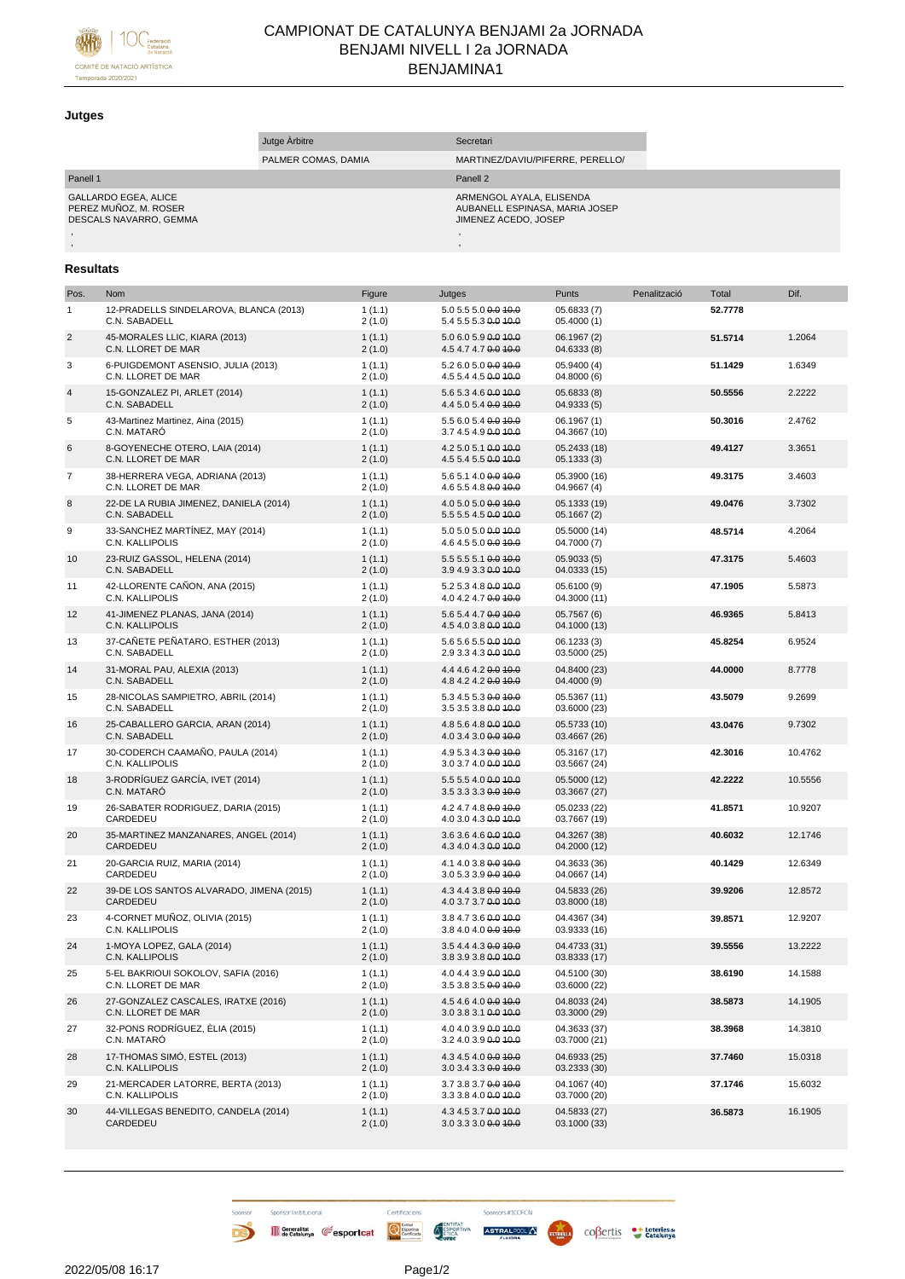

## CAMPIONAT DE CATALUNYA BENJAMI 2a JORNADA BENJAMI NIVELL I 2a JORNADA BENJAMINA1

## **Jutges**

|                                                                                | Jutge Arbitre       | Secretari                                                                          |  |
|--------------------------------------------------------------------------------|---------------------|------------------------------------------------------------------------------------|--|
|                                                                                | PALMER COMAS, DAMIA | MARTINEZ/DAVIU/PIFERRE, PERELLO/                                                   |  |
| Panell 1                                                                       |                     | Panell <sub>2</sub>                                                                |  |
| <b>GALLARDO EGEA, ALICE</b><br>PEREZ MUÑOZ. M. ROSER<br>DESCALS NAVARRO. GEMMA |                     | ARMENGOL AYALA, ELISENDA<br>AUBANELL ESPINASA, MARIA JOSEP<br>JIMENEZ ACEDO, JOSEP |  |
|                                                                                |                     |                                                                                    |  |
|                                                                                |                     |                                                                                    |  |

## **Resultats**

| Pos.           | Nom                                                       | Figure           | Jutges                                       | Punts                        | Penalització | Total   | Dif.    |
|----------------|-----------------------------------------------------------|------------------|----------------------------------------------|------------------------------|--------------|---------|---------|
| $\mathbf{1}$   | 12-PRADELLS SINDELAROVA, BLANCA (2013)<br>C.N. SABADELL   | 1(1.1)<br>2(1.0) | 5.0 5.5 5.0 0.0 10.0<br>5.4 5.5 5.3 0.0 40.0 | 05.6833 (7)<br>05.4000 (1)   |              | 52.7778 |         |
| $\sqrt{2}$     | 45-MORALES LLIC, KIARA (2013)<br>C.N. LLORET DE MAR       | 1(1.1)<br>2(1.0) | 5.0 6.0 5.9 0.0 10.0<br>4.5 4.7 4.7 0.0 10.0 | 06.1967 (2)<br>04.6333 (8)   |              | 51.5714 | 1.2064  |
| 3              | 6-PUIGDEMONT ASENSIO, JULIA (2013)<br>C.N. LLORET DE MAR  | 1(1.1)<br>2(1.0) | 5.2 6.0 5.0 0.0 10.0<br>4.5 5.4 4.5 0.0 40.0 | 05.9400 (4)<br>04.8000 (6)   |              | 51.1429 | 1.6349  |
| $\overline{4}$ | 15-GONZALEZ PI, ARLET (2014)<br>C.N. SABADELL             | 1(1.1)<br>2(1.0) | 5.6 5.3 4.6 0.0 10.0<br>4.4 5.0 5.4 0.0 10.0 | 05.6833 (8)<br>04.9333 (5)   |              | 50.5556 | 2.2222  |
| 5              | 43-Martinez Martinez, Aina (2015)<br>C.N. MATARÓ          | 1(1.1)<br>2(1.0) | 5.5 6.0 5.4 0.0 10.0<br>3.7 4.5 4.9 0.0 10.0 | 06.1967(1)<br>04.3667 (10)   |              | 50.3016 | 2.4762  |
| 6              | 8-GOYENECHE OTERO, LAIA (2014)<br>C.N. LLORET DE MAR      | 1(1.1)<br>2(1.0) | 4.2 5.0 5.1 0.0 10.0<br>4.5 5.4 5.5 0.0 10.0 | 05.2433 (18)<br>05.1333(3)   |              | 49.4127 | 3.3651  |
| $\overline{7}$ | 38-HERRERA VEGA, ADRIANA (2013)<br>C.N. LLORET DE MAR     | 1(1.1)<br>2(1.0) | 5.6 5.1 4.0 0.0 10.0<br>4.6 5.5 4.8 0.0 40.0 | 05.3900 (16)<br>04.9667 (4)  |              | 49.3175 | 3.4603  |
| 8              | 22-DE LA RUBIA JIMENEZ, DANIELA (2014)<br>C.N. SABADELL   | 1(1.1)<br>2(1.0) | 4.0 5.0 5.0 0.0 10.0<br>5.5 5.5 4.5 0.0 10.0 | 05.1333 (19)<br>05.1667(2)   |              | 49.0476 | 3.7302  |
| 9              | 33-SANCHEZ MARTÍNEZ, MAY (2014)<br>C.N. KALLIPOLIS        | 1(1.1)<br>2(1.0) | 5.0 5.0 5.0 0.0 40.0<br>4.6 4.5 5.0 0.0 10.0 | 05.5000 (14)<br>04.7000 (7)  |              | 48.5714 | 4.2064  |
| 10             | 23-RUIZ GASSOL, HELENA (2014)<br>C.N. SABADELL            | 1(1.1)<br>2(1.0) | 5.5 5.5 5.1 0.0 10.0<br>3.9 4.9 3.3 0.0 10.0 | 05.9033(5)<br>04.0333 (15)   |              | 47.3175 | 5.4603  |
| 11             | 42-LLORENTE CAÑON, ANA (2015)<br>C.N. KALLIPOLIS          | 1(1.1)<br>2(1.0) | 5.2 5.3 4.8 0.0 10.0<br>4.0 4.2 4.7 0.0 10.0 | 05.6100 (9)<br>04.3000 (11)  |              | 47.1905 | 5.5873  |
| 12             | 41-JIMENEZ PLANAS, JANA (2014)<br>C.N. KALLIPOLIS         | 1(1.1)<br>2(1.0) | 5.6 5.4 4.7 0.0 10.0<br>4.5 4.0 3.8 0.0 10.0 | 05.7567 (6)<br>04.1000 (13)  |              | 46.9365 | 5.8413  |
| 13             | 37-CAÑETE PEÑATARO, ESTHER (2013)<br>C.N. SABADELL        | 1(1.1)<br>2(1.0) | 5.6 5.6 5.5 0.0 10.0<br>2.9 3.3 4.3 0.0 10.0 | 06.1233 (3)<br>03.5000 (25)  |              | 45.8254 | 6.9524  |
| 14             | 31-MORAL PAU, ALEXIA (2013)<br>C.N. SABADELL              | 1(1.1)<br>2(1.0) | 4.4 4.6 4.2 0.0 10.0<br>4.8 4.2 4.2 0.0 10.0 | 04.8400 (23)<br>04.4000 (9)  |              | 44.0000 | 8.7778  |
| 15             | 28-NICOLAS SAMPIETRO, ABRIL (2014)<br>C.N. SABADELL       | 1(1.1)<br>2(1.0) | 5.3 4.5 5.3 0.0 10.0<br>3.5 3.5 3.8 0.0 10.0 | 05.5367 (11)<br>03.6000 (23) |              | 43.5079 | 9.2699  |
| 16             | 25-CABALLERO GARCIA, ARAN (2014)<br>C.N. SABADELL         | 1(1.1)<br>2(1.0) | 4.8 5.6 4.8 0.0 10.0<br>4.0 3.4 3.0 0.0 10.0 | 05.5733 (10)<br>03.4667 (26) |              | 43.0476 | 9.7302  |
| 17             | 30-CODERCH CAAMAÑO, PAULA (2014)<br>C.N. KALLIPOLIS       | 1(1.1)<br>2(1.0) | 4.9 5.3 4.3 0.0 10.0<br>3.0 3.7 4.0 0.0 40.0 | 05.3167 (17)<br>03.5667 (24) |              | 42.3016 | 10.4762 |
| 18             | 3-RODRÍGUEZ GARCÍA, IVET (2014)<br>C.N. MATARÓ            | 1(1.1)<br>2(1.0) | 5.5 5.5 4.0 0.0 10.0<br>3.5 3.3 3.3 0.0 10.0 | 05.5000 (12)<br>03.3667 (27) |              | 42.2222 | 10.5556 |
| 19             | 26-SABATER RODRIGUEZ, DARIA (2015)<br>CARDEDEU            | 1(1.1)<br>2(1.0) | 4.2 4.7 4.8 0.0 10.0<br>4.0 3.0 4.3 0.0 40.0 | 05.0233 (22)<br>03.7667 (19) |              | 41.8571 | 10.9207 |
| 20             | 35-MARTINEZ MANZANARES, ANGEL (2014)<br>CARDEDEU          | 1(1.1)<br>2(1.0) | 3.6 3.6 4.6 0.0 10.0<br>4.3 4.0 4.3 0.0 10.0 | 04.3267 (38)<br>04.2000 (12) |              | 40.6032 | 12.1746 |
| 21             | 20-GARCIA RUIZ, MARIA (2014)<br>CARDEDEU                  | 1(1.1)<br>2(1.0) | 4.1 4.0 3.8 0.0 40.0<br>3.0 5.3 3.9 0.0 40.0 | 04.3633 (36)<br>04.0667 (14) |              | 40.1429 | 12.6349 |
| 22             | 39-DE LOS SANTOS ALVARADO, JIMENA (2015)<br>CARDEDEU      | 1(1.1)<br>2(1.0) | 4.3 4.4 3.8 0.0 10.0<br>4.0 3.7 3.7 0.0 10.0 | 04.5833 (26)<br>03.8000 (18) |              | 39.9206 | 12.8572 |
| 23             | 4-CORNET MUÑOZ, OLIVIA (2015)<br>C.N. KALLIPOLIS          | 1(1.1)<br>2(1.0) | 3.8 4.7 3.6 0.0 10.0<br>3.8 4.0 4.0 0.0 40.0 | 04.4367 (34)<br>03.9333 (16) |              | 39.8571 | 12.9207 |
| 24             | 1-MOYA LOPEZ, GALA (2014)<br>C.N. KALLIPOLIS              | 1(1.1)<br>2(1.0) | 3.5 4.4 4.3 0.0 10.0<br>3.8 3.9 3.8 0.0 10.0 | 04.4733 (31)<br>03.8333 (17) |              | 39.5556 | 13.2222 |
| 25             | 5-EL BAKRIOUI SOKOLOV, SAFIA (2016)<br>C.N. LLORET DE MAR | 1(1.1)<br>2(1.0) | 4.0 4.4 3.9 0.0 10.0<br>3.5 3.8 3.5 0.0 10.0 | 04.5100 (30)<br>03.6000 (22) |              | 38.6190 | 14.1588 |
| 26             | 27-GONZALEZ CASCALES, IRATXE (2016)<br>C.N. LLORET DE MAR | 1(1.1)<br>2(1.0) | 4.5 4.6 4.0 0.0 10.0<br>3.0 3.8 3.1 0.0 10.0 | 04.8033 (24)<br>03.3000 (29) |              | 38.5873 | 14.1905 |
| 27             | 32-PONS RODRÍGUEZ, ÈLIA (2015)<br>C.N. MATARÓ             | 1(1.1)<br>2(1.0) | 4.0 4.0 3.9 0.0 40.0<br>3.2 4.0 3.9 0.0 10.0 | 04.3633 (37)<br>03.7000 (21) |              | 38.3968 | 14.3810 |
| 28             | 17-THOMAS SIMÓ, ESTEL (2013)<br>C.N. KALLIPOLIS           | 1(1.1)<br>2(1.0) | 4.3 4.5 4.0 0.0 10.0<br>3.0 3.4 3.3 0.0 10.0 | 04.6933 (25)<br>03.2333 (30) |              | 37.7460 | 15.0318 |
| 29             | 21-MERCADER LATORRE, BERTA (2013)<br>C.N. KALLIPOLIS      | 1(1.1)<br>2(1.0) | 3.7 3.8 3.7 0.0 10.0<br>3.3 3.8 4.0 0.0 10.0 | 04.1067 (40)<br>03.7000 (20) |              | 37.1746 | 15.6032 |
| 30             | 44-VILLEGAS BENEDITO, CANDELA (2014)<br>CARDEDEU          | 1(1.1)<br>2(1.0) | 4.3 4.5 3.7 0.0 10.0<br>3.0 3.3 3.0 0.0 10.0 | 04.5833 (27)<br>03.1000 (33) |              | 36.5873 | 16.1905 |

D

Sponsors #100FCN